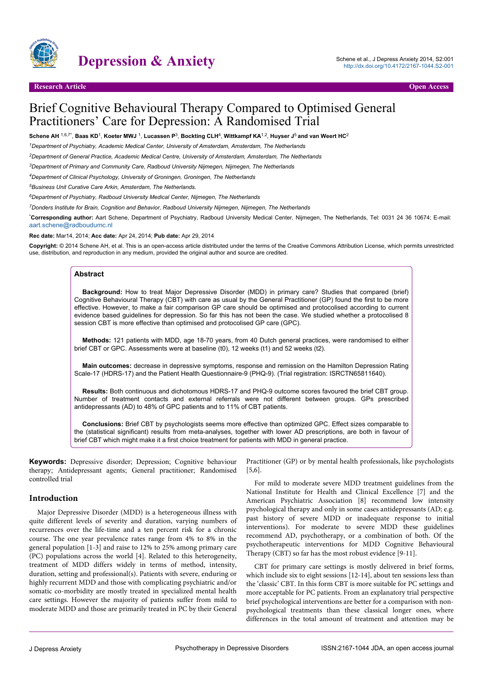

# Brief Cognitive Behavioural Therapy Compared to Optimised General Practitioners' Care for Depression: A Randomised Trial

 $S$ chene AH <sup>1,6,7\*</sup>, Baas KD<sup>1</sup>, Koeter MWJ <sup>1</sup>, Lucassen P<sup>3</sup>, Bockting CLH<sup>4</sup>, Wittkampf KA<sup>1,2</sup>, Huyser J<sup>5</sup> and van Weert HC<sup>2</sup>

*<sup>1</sup>Department of Psychiatry, Academic Medical Center, University of Amsterdam, Amsterdam, The Netherlands*

*<sup>2</sup>Department of General Practice, Academic Medical Centre, University of Amsterdam, Amsterdam, The Netherlands*

*<sup>3</sup>Department of Primary and Community Care, Radboud University Nijmegen, Nijmegen, The Netherlands*

*<sup>4</sup>Department of Clinical Psychology, University of Groningen, Groningen, The Netherlands*

*<sup>5</sup>Business Unit Curative Care Arkin, Amsterdam, The Netherlands.*

*<sup>6</sup>Department of Psychiatry, Radboud University Medical Center, Nijmegen, The Netherlands*

*<sup>7</sup>Donders Institute for Brain, Cognition and Behavior, Radboud University Nijmegen, Nijmegen, The Netherlands*

\***Corresponding author:** Aart Schene, Department of Psychiatry, Radboud University Medical Center, Nijmegen, The Netherlands, Tel: 0031 24 36 10674; E-mail: [aart.schene@radboudumc.nl](mailto:aart.schene@radboudumc.nl)

**Rec date:** Mar14, 2014; **Acc date:** Apr 24, 2014; **Pub date:** Apr 29, 2014

**Copyright:** © 2014 Schene AH, et al. This is an open-access article distributed under the terms of the Creative Commons Attribution License, which permits unrestricted use, distribution, and reproduction in any medium, provided the original author and source are credited.

#### **Abstract**

**Background:** How to treat Major Depressive Disorder (MDD) in primary care? Studies that compared (brief) Cognitive Behavioural Therapy (CBT) with care as usual by the General Practitioner (GP) found the first to be more effective. However, to make a fair comparison GP care should be optimised and protocolised according to current evidence based guidelines for depression. So far this has not been the case. We studied whether a protocolised 8 session CBT is more effective than optimised and protocolised GP care (GPC).

**Methods:** 121 patients with MDD, age 18-70 years, from 40 Dutch general practices, were randomised to either brief CBT or GPC. Assessments were at baseline (t0), 12 weeks (t1) and 52 weeks (t2).

**Main outcomes:** decrease in depressive symptoms, response and remission on the Hamilton Depression Rating Scale-17 (HDRS-17) and the Patient Health Questionnaire-9 (PHQ-9). (Trial registration: ISRCTN65811640).

**Results:** Both continuous and dichotomous HDRS-17 and PHQ-9 outcome scores favoured the brief CBT group. Number of treatment contacts and external referrals were not different between groups. GPs prescribed antidepressants (AD) to 48% of GPC patients and to 11% of CBT patients.

**Conclusions:** Brief CBT by psychologists seems more effective than optimized GPC. Effect sizes comparable to the (statistical significant) results from meta-analyses, together with lower AD prescriptions, are both in favour of brief CBT which might make it a first choice treatment for patients with MDD in general practice.

**Keywords:** Depressive disorder; Depression; Cognitive behaviour therapy; Antidepressant agents; General practitioner; Randomised controlled trial

#### **Introduction**

Major Depressive Disorder (MDD) is a heterogeneous illness with quite different levels of severity and duration, varying numbers of recurrences over the life-time and a ten percent risk for a chronic course. The one year prevalence rates range from 4% to 8% in the general population [1-3] and raise to 12% to 25% among primary care (PC) populations across the world [4]. Related to this heterogeneity, treatment of MDD differs widely in terms of method, intensity, duration, setting and professional(s). Patients with severe, enduring or highly recurrent MDD and those with complicating psychiatric and/or somatic co-morbidity are mostly treated in specialized mental health care settings. However the majority of patients suffer from mild to moderate MDD and those are primarily treated in PC by their General

Practitioner (GP) or by mental health professionals, like psychologists [5,6].

For mild to moderate severe MDD treatment guidelines from the National Institute for Health and Clinical Excellence [7] and the American Psychiatric Association [8] recommend low intensity psychological therapy and only in some cases antidepressants (AD; e.g. past history of severe MDD or inadequate response to initial interventions). For moderate to severe MDD these guidelines recommend AD, psychotherapy, or a combination of both. Of the psychotherapeutic interventions for MDD Cognitive Behavioural Therapy (CBT) so far has the most robust evidence [9-11].

CBT for primary care settings is mostly delivered in brief forms, which include six to eight sessions [12-14], about ten sessions less than the 'classic' CBT. In this form CBT is more suitable for PC settings and more acceptable for PC patients. From an explanatory trial perspective brief psychological interventions are better for a comparison with nonpsychological treatments than these classical longer ones, where differences in the total amount of treatment and attention may be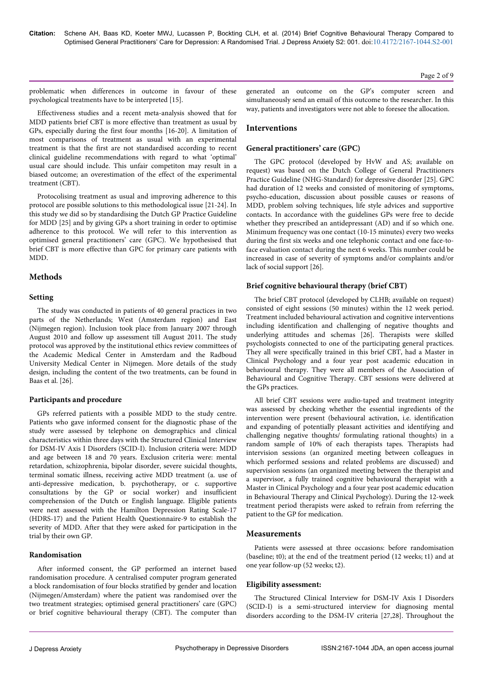problematic when differences in outcome in favour of these psychological treatments have to be interpreted [15].

Effectiveness studies and a recent meta-analysis showed that for MDD patients brief CBT is more effective than treatment as usual by GPs, especially during the first four months [16-20]. A limitation of most comparisons of treatment as usual with an experimental treatment is that the first are not standardised according to recent clinical guideline recommendations with regard to what 'optimal' usual care should include. This unfair competiton may result in a biased outcome; an overestimation of the effect of the experimental treatment (CBT).

Protocolising treatment as usual and improving adherence to this protocol are possible solutions to this methodological issue [21-24]. In this study we did so by standardising the Dutch GP Practice Guideline for MDD [25] and by giving GPs a short training in order to optimise adherence to this protocol. We will refer to this intervention as optimised general practitioners' care (GPC). We hypothesised that brief CBT is more effective than GPC for primary care patients with MDD.

# **Methods**

## **Setting**

The study was conducted in patients of 40 general practices in two parts of the Netherlands; West (Amsterdam region) and East (Nijmegen region). Inclusion took place from January 2007 through August 2010 and follow up assessment till August 2011. The study protocol was approved by the institutional ethics review committees of the Academic Medical Center in Amsterdam and the Radboud University Medical Center in Nijmegen. More details of the study design, including the content of the two treatments, can be found in Baas et al. [26].

#### **Participants and procedure**

GPs referred patients with a possible MDD to the study centre. Patients who gave informed consent for the diagnostic phase of the study were assessed by telephone on demographics and clinical characteristics within three days with the Structured Clinical Interview for DSM-IV Axis I Disorders (SCID-I). Inclusion criteria were: MDD and age between 18 and 70 years. Exclusion criteria were: mental retardation, schizophrenia, bipolar disorder, severe suicidal thoughts, terminal somatic illness, receiving active MDD treatment (a. use of anti-depressive medication, b. psychotherapy, or c. supportive consultations by the GP or social worker) and insufficient comprehension of the Dutch or English language. Eligible patients were next assessed with the Hamilton Depression Rating Scale-17 (HDRS-17) and the Patient Health Questionnaire-9 to establish the severity of MDD. After that they were asked for participation in the trial by their own GP.

#### **Randomisation**

After informed consent, the GP performed an internet based randomisation procedure. A centralised computer program generated a block randomisation of four blocks stratified by gender and location (Nijmegen/Amsterdam) where the patient was randomised over the two treatment strategies; optimised general practitioners' care (GPC) or brief cognitive behavioural therapy (CBT). The computer than

generated an outcome on the GP's computer screen and simultaneously send an email of this outcome to the researcher. In this way, patients and investigators were not able to foresee the allocation.

## **Interventions**

## **General practitioners' care (GPC)**

The GPC protocol (developed by HvW and AS; available on request) was based on the Dutch College of General Practitioners Practice Guideline (NHG-Standard) for depressive disorder [25]. GPC had duration of 12 weeks and consisted of monitoring of symptoms, psycho-education, discussion about possible causes or reasons of MDD, problem solving techniques, life style advices and supportive contacts. In accordance with the guidelines GPs were free to decide whether they prescribed an antidepressant (AD) and if so which one. Minimum frequency was one contact (10-15 minutes) every two weeks during the first six weeks and one telephonic contact and one face-toface evaluation contact during the next 6 weeks. This number could be increased in case of severity of symptoms and/or complaints and/or lack of social support [26].

## **Brief cognitive behavioural therapy (brief CBT)**

The brief CBT protocol (developed by CLHB; available on request) consisted of eight sessions (50 minutes) within the 12 week period. Treatment included behavioural activation and cognitive interventions including identification and challenging of negative thoughts and underlying attitudes and schemas [26]. Therapists were skilled psychologists connected to one of the participating general practices. They all were specifically trained in this brief CBT, had a Master in Clinical Psychology and a four year post academic education in behavioural therapy. They were all members of the Association of Behavioural and Cognitive Therapy. CBT sessions were delivered at the GPs practices.

All brief CBT sessions were audio-taped and treatment integrity was assessed by checking whether the essential ingredients of the intervention were present (behavioural activation, i.e. identification and expanding of potentially pleasant activities and identifying and challenging negative thoughts/ formulating rational thoughts) in a random sample of 10% of each therapists tapes. Therapists had intervision sessions (an organized meeting between colleagues in which performed sessions and related problems are discussed) and supervision sessions (an organized meeting between the therapist and a supervisor, a fully trained cognitive behavioural therapist with a Master in Clinical Psychology and a four year post academic education in Behavioural Therapy and Clinical Psychology). During the 12-week treatment period therapists were asked to refrain from referring the patient to the GP for medication.

#### **Measurements**

Patients were assessed at three occasions: before randomisation (baseline; t0); at the end of the treatment period (12 weeks; t1) and at one year follow-up (52 weeks; t2).

# **Eligibility assessment:**

The Structured Clinical Interview for DSM-IV Axis I Disorders (SCID-I) is a semi-structured interview for diagnosing mental disorders according to the DSM-IV criteria [27,28]. Throughout the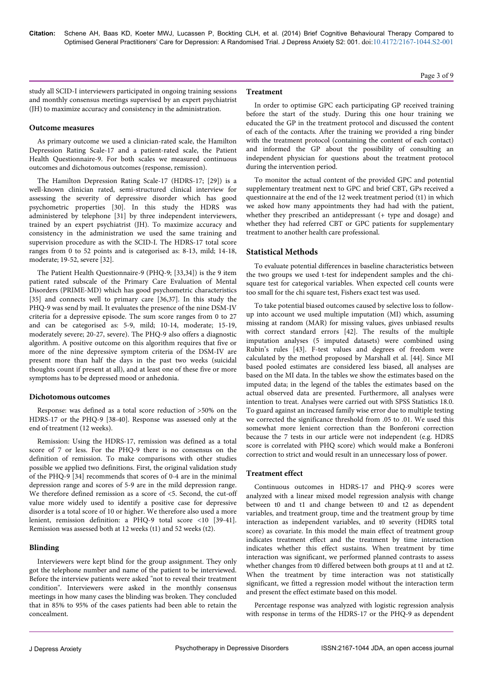study all SCID-I interviewers participated in ongoing training sessions and monthly consensus meetings supervised by an expert psychiatrist (JH) to maximize accuracy and consistency in the administration.

#### **Outcome measures**

As primary outcome we used a clinician-rated scale, the Hamilton Depression Rating Scale-17 and a patient-rated scale, the Patient Health Questionnaire-9. For both scales we measured continuous outcomes and dichotomous outcomes (response, remission).

The Hamilton Depression Rating Scale-17 (HDRS-17; [29]) is a well-known clinician rated, semi-structured clinical interview for assessing the severity of depressive disorder which has good psychometric properties [30]. In this study the HDRS was administered by telephone [31] by three independent interviewers, trained by an expert psychiatrist (JH). To maximize accuracy and consistency in the administration we used the same training and supervision procedure as with the SCID-I. The HDRS-17 total score ranges from 0 to 52 points and is categorised as: 8-13, mild; 14-18, moderate; 19-52, severe [32].

The Patient Health Questionnaire-9 (PHQ-9; [33,34]) is the 9 item patient rated subscale of the Primary Care Evaluation of Mental Disorders (PRIME-MD) which has good psychometric characteristics [35] and connects well to primary care [36,37]. In this study the PHQ-9 was send by mail. It evaluates the presence of the nine DSM-IV criteria for a depressive episode. The sum score ranges from 0 to 27 and can be categorised as: 5-9, mild; 10-14, moderate; 15-19, moderately severe; 20-27, severe). The PHQ-9 also offers a diagnostic algorithm. A positive outcome on this algorithm requires that five or more of the nine depressive symptom criteria of the DSM-IV are present more than half the days in the past two weeks (suicidal thoughts count if present at all), and at least one of these five or more symptoms has to be depressed mood or anhedonia.

#### **Dichotomous outcomes**

Response: was defined as a total score reduction of >50% on the HDRS-17 or the PHQ-9 [38-40]. Response was assessed only at the end of treatment (12 weeks).

Remission: Using the HDRS-17, remission was defined as a total score of 7 or less. For the PHQ-9 there is no consensus on the definition of remission. To make comparisons with other studies possible we applied two definitions. First, the original validation study of the PHQ-9 [34] recommends that scores of 0-4 are in the minimal depression range and scores of 5-9 are in the mild depression range. We therefore defined remission as a score of <5. Second, the cut-off value more widely used to identify a positive case for depressive disorder is a total score of 10 or higher. We therefore also used a more lenient, remission definition: a PHQ-9 total score <10 [39-41]. Remission was assessed both at 12 weeks (t1) and 52 weeks (t2).

#### **Blinding**

Interviewers were kept blind for the group assignment. They only got the telephone number and name of the patient to be interviewed. Before the interview patients were asked "not to reveal their treatment condition". Interviewers were asked in the monthly consensus meetings in how many cases the blinding was broken. They concluded that in 85% to 95% of the cases patients had been able to retain the concealment.

### **Treatment**

In order to optimise GPC each participating GP received training before the start of the study. During this one hour training we educated the GP in the treatment protocol and discussed the content of each of the contacts. After the training we provided a ring binder with the treatment protocol (containing the content of each contact) and informed the GP about the possibility of consulting an independent physician for questions about the treatment protocol during the intervention period.

To monitor the actual content of the provided GPC and potential supplementary treatment next to GPC and brief CBT, GPs received a questionnaire at the end of the 12 week treatment period (t1) in which we asked how many appointments they had had with the patient, whether they prescribed an antidepressant (+ type and dosage) and whether they had referred CBT or GPC patients for supplementary treatment to another health care professional.

#### **Statistical Methods**

To evaluate potential differences in baseline characteristics between the two groups we used t-test for independent samples and the chisquare test for categorical variables. When expected cell counts were too small for the chi square test, Fishers exact test was used.

To take potential biased outcomes caused by selective loss to followup into account we used multiple imputation (MI) which, assuming missing at random (MAR) for missing values, gives unbiased results with correct standard errors [42]. The results of the multiple imputation analyses (5 imputed datasets) were combined using Rubin's rules [43]. F-test values and degrees of freedom were calculated by the method proposed by Marshall et al. [44]. Since MI based pooled estimates are considered less biased, all analyses are based on the MI data. In the tables we show the estimates based on the imputed data; in the legend of the tables the estimates based on the actual observed data are presented. Furthermore, all analyses were intention to treat. Analyses were carried out with SPSS Statistics 18.0. To guard against an increased family wise error due to multiple testing we corrected the significance threshold from .05 to .01. We used this somewhat more lenient correction than the Bonferoni correction because the 7 tests in our article were not independent (e.g. HDRS score is correlated with PHQ score) which would make a Bonferoni correction to strict and would result in an unnecessary loss of power.

#### **Treatment effect**

Continuous outcomes in HDRS-17 and PHQ-9 scores were analyzed with a linear mixed model regression analysis with change between t0 and t1 and change between t0 and t2 as dependent variables, and treatment group, time and the treatment group by time interaction as independent variables, and t0 severity (HDRS total score) as covariate. In this model the main effect of treatment group indicates treatment effect and the treatment by time interaction indicates whether this effect sustains. When treatment by time interaction was significant, we performed planned contrasts to assess whether changes from t0 differed between both groups at t1 and at t2. When the treatment by time interaction was not statistically significant, we fitted a regression model without the interaction term and present the effect estimate based on this model.

Percentage response was analyzed with logistic regression analysis with response in terms of the HDRS-17 or the PHQ-9 as dependent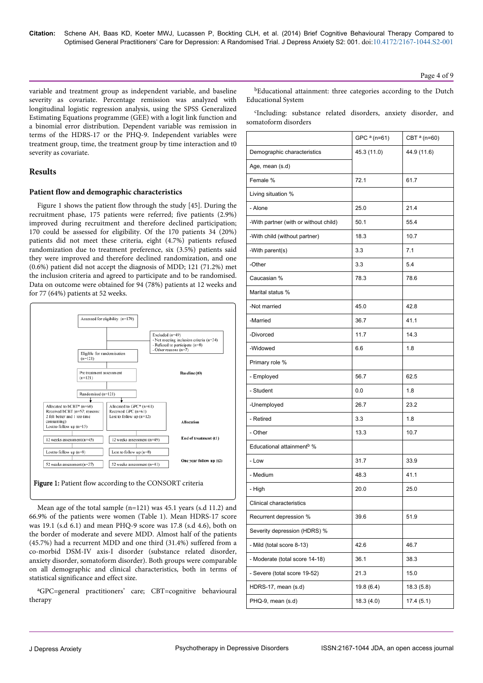#### Page 4 of 9

variable and treatment group as independent variable, and baseline severity as covariate. Percentage remission was analyzed with longitudinal logistic regression analysis, using the SPSS Generalized Estimating Equations programme (GEE) with a logit link function and a binomial error distribution. Dependent variable was remission in terms of the HDRS-17 or the PHQ-9. Independent variables were treatment group, time, the treatment group by time interaction and t0 severity as covariate.

# **Results**

#### **Patient flow and demographic characteristics**

Figure 1 shows the patient flow through the study [45]. During the recruitment phase, 175 patients were referred; five patients (2.9%) improved during recruitment and therefore declined participation; 170 could be assessed for eligibility. Of the 170 patients 34 (20%) patients did not meet these criteria, eight (4.7%) patients refused randomization due to treatment preference, six (3.5%) patients said they were improved and therefore declined randomization, and one (0.6%) patient did not accept the diagnosis of MDD; 121 (71.2%) met the inclusion criteria and agreed to participate and to be randomised. Data on outcome were obtained for 94 (78%) patients at 12 weeks and for 77 (64%) patients at 52 weeks.



Mean age of the total sample (n=121) was 45.1 years (s.d 11.2) and 66.9% of the patients were women (Table 1). Mean HDRS-17 score was 19.1 (s.d 6.1) and mean PHQ-9 score was 17.8 (s.d 4.6), both on the border of moderate and severe MDD. Almost half of the patients (45.7%) had a recurrent MDD and one third (31.4%) suffered from a co-morbid DSM-IV axis-I disorder (substance related disorder, anxiety disorder, somatoform disorder). Both groups were comparable on all demographic and clinical characteristics, both in terms of statistical significance and effect size.

<sup>a</sup>GPC=general practitioners' care; CBT=cognitive behavioural therapy

**bEducational attainment:** three categories according to the Dutch Educational System

c Including: substance related disorders, anxiety disorder, and somatoform disorders

|                                       | GPC $a(n=61)$ | CBT <sup>a</sup> (n=60) |
|---------------------------------------|---------------|-------------------------|
| Demographic characteristics           | 45.3 (11.0)   | 44.9 (11.6)             |
| Age, mean (s.d)                       |               |                         |
| Female %                              | 72.1          | 61.7                    |
| Living situation %                    |               |                         |
| - Alone                               | 25.0          | 21.4                    |
| -With partner (with or without child) | 50.1          | 55.4                    |
| -With child (without partner)         | 18.3          | 10.7                    |
| -With parent(s)                       | 3.3           | 7.1                     |
| -Other                                | 3.3           | 5.4                     |
| Caucasian %                           | 78.3          | 78.6                    |
| Marital status %                      |               |                         |
| -Not married                          | 45.0          | 42.8                    |
| -Married                              | 36.7          | 41.1                    |
| -Divorced                             | 11.7          | 14.3                    |
| -Widowed                              | 6.6           | 1.8                     |
| Primary role %                        |               |                         |
| - Employed                            | 56.7          | 62.5                    |
| - Student                             | 0.0           | 1.8                     |
| -Unemployed                           | 26.7          | 23.2                    |
| - Retired                             | 3.3           | 1.8                     |
| - Other                               | 13.3          | 10.7                    |
| Educational attainment <sup>b</sup> % |               |                         |
| - Low                                 | 31.7          | 33.9                    |
| - Medium                              | 48.3          | 41.1                    |
| - High                                | 20.0          | 25.0                    |
| Clinical characteristics              |               |                         |
| Recurrent depression %                | 39.6          | 51.9                    |
| Severity depression (HDRS) %          |               |                         |
| - Mild (total score 8-13)             | 42.6          | 46.7                    |
| - Moderate (total score 14-18)        | 36.1          | 38.3                    |
| - Severe (total score 19-52)          | 21.3          | 15.0                    |
| HDRS-17, mean (s.d)                   | 19.8 (6.4)    | 18.3 (5.8)              |
| PHQ-9, mean (s.d)                     | 18.3(4.0)     | 17.4 (5.1)              |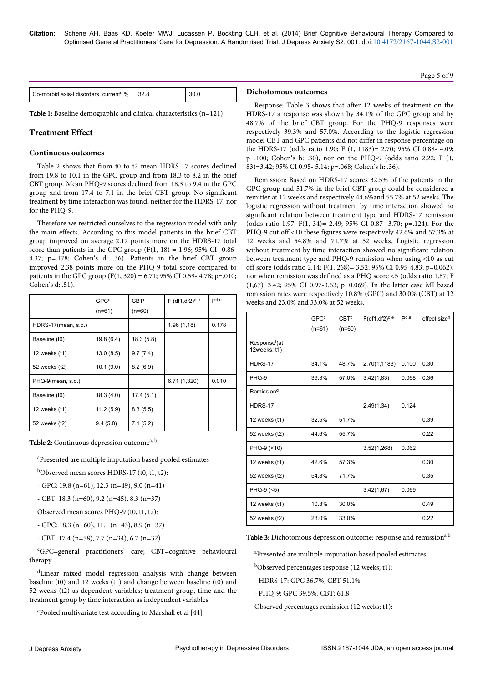| Co-morbid axis-I disorders.<br>current<br> | 32.8<br>$\sim$ $\sim$ | 30.0 | chotomous outcomes<br>" |
|--------------------------------------------|-----------------------|------|-------------------------|

Table 1: Baseline demographic and clinical characteristics (n=121)

## **Treatment Effect**

#### **Continuous outcomes**

Table 2 shows that from t0 to t2 mean HDRS-17 scores declined from 19.8 to 10.1 in the GPC group and from 18.3 to 8.2 in the brief CBT group. Mean PHQ-9 scores declined from 18.3 to 9.4 in the GPC group and from 17.4 to 7.1 in the brief CBT group. No significant treatment by time interaction was found, neither for the HDRS-17, nor for the PHQ-9.

Therefore we restricted ourselves to the regression model with only the main effects. According to this model patients in the brief CBT group improved on average 2.17 points more on the HDRS-17 total score than patients in the GPC group (F $(1, 18) = 1.96$ ; 95% CI -0.86-4.37; p=.178; Cohen's d: .36). Patients in the brief CBT group improved 2.38 points more on the PHQ-9 total score compared to patients in the GPC group (F(1, 320) = 6.71; 95% CI 0.59- 4.78; p=.010; Cohen's d: .51).

|                     | GPC <sup>c</sup> | CBT <sup>c</sup> | $F$ (df1,df2) <sup>d,e</sup> | pd,e  |
|---------------------|------------------|------------------|------------------------------|-------|
|                     | $(n=61)$         | $(n=60)$         |                              |       |
| HDRS-17(mean, s.d.) |                  |                  | 1.96(1,18)                   | 0.178 |
| Baseline (t0)       | 19.8(6.4)        | 18.3(5.8)        |                              |       |
| 12 weeks (t1)       | 13.0(8.5)        | 9.7(7.4)         |                              |       |
| 52 weeks (t2)       | 10.1(9.0)        | 8.2(6.9)         |                              |       |
| PHQ-9(mean, s.d.)   |                  |                  | 6.71 (1,320)                 | 0.010 |
| Baseline (t0)       | 18.3(4.0)        | 17.4(5.1)        |                              |       |
| 12 weeks (t1)       | 11.2(5.9)        | 8.3(5.5)         |                              |       |
| 52 weeks (t2)       | 9.4(5.8)         | 7.1(5.2)         |                              |       |

Table 2: Continuous depression outcomea, b

<sup>a</sup>Presented are multiple imputation based pooled estimates

<sup>b</sup>Observed mean scores HDRS-17 (t0, t1, t2):

 $-$  GPC: 19.8 (n=61), 12.3 (n=49), 9.0 (n=41)

- CBT: 18.3 (n=60), 9.2 (n=45), 8.3 (n=37)

Observed mean scores PHQ-9 (t0, t1, t2):

 $-$  GPC: 18.3 (n=60), 11.1 (n=43), 8.9 (n=37)

- CBT: 17.4 (n=58), 7.7 (n=34), 6.7 (n=32)

<sup>c</sup>GPC=general practitioners' care; CBT=cognitive behavioural therapy

<sup>d</sup>Linear mixed model regression analysis with change between baseline (t0) and 12 weeks (t1) and change between baseline (t0) and 52 weeks (t2) as dependent variables; treatment group, time and the treatment group by time interaction as independent variables

<sup>e</sup>Pooled multivariate test according to Marshall et al [44]

Response: Table 3 shows that after 12 weeks of treatment on the HDRS-17 a response was shown by 34.1% of the GPC group and by 48.7% of the brief CBT group. For the PHQ-9 responses were respectively 39.3% and 57.0%. According to the logistic regression model CBT and GPC patients did not differ in response percentage on the HDRS-17 (odds ratio 1.90; F (1, 1183)= 2.70; 95% CI 0.88- 4.09; p=.100; Cohen's h: .30), nor on the PHQ-9 (odds ratio 2.22; F (1, 83)=3.42; 95% CI 0.95- 5.14; p=.068; Cohen's h: .36).

Page 5 of 9

Remission: Based on HDRS-17 scores 32.5% of the patients in the GPC group and 51.7% in the brief CBT group could be considered a remitter at 12 weeks and respectively 44.6%and 55.7% at 52 weeks. The logistic regression without treatment by time interaction showed no significant relation between treatment type and HDRS-17 remission (odds ratio 1.97; F(1, 34)= 2.49; 95% CI 0.87- 3.70; p=.124). For the PHQ-9 cut off <10 these figures were respectively 42.6% and 57.3% at 12 weeks and 54.8% and 71.7% at 52 weeks. Logistic regression without treatment by time interaction showed no significant relation between treatment type and PHQ-9 remission when using <10 as cut off score (odds ratio 2.14; F(1, 268)= 3.52; 95% CI 0.95-4.83; p=0.062), nor when remission was defined as a PHQ score <5 (odds ratio 1.87; F (1,67)=3.42; 95% CI 0.97-3.63; p=0.069). In the latter case MI based remission rates were respectively 10.8% (GPC) and 30.0% (CBT) at 12 weeks and 23.0% and 33.0% at 52 weeks.

|                                           | GPC <sup>c</sup> | CBT <sup>c</sup> | F(df1, df2) <sup>d,e</sup> | pd,e  | effect size <sup>h</sup> |
|-------------------------------------------|------------------|------------------|----------------------------|-------|--------------------------|
|                                           | $(n=61)$         | $(n=60)$         |                            |       |                          |
| Response <sup>f</sup> (at<br>12weeks; t1) |                  |                  |                            |       |                          |
| HDRS-17                                   | 34.1%            | 48.7%            | 2.70(1, 1183)              | 0.100 | 0.30                     |
| PHQ-9                                     | 39.3%            | 57.0%            | 3.42(1,83)                 | 0.068 | 0.36                     |
| Remission <sup>g</sup>                    |                  |                  |                            |       |                          |
| HDRS-17                                   |                  |                  | 2.49(1,34)                 | 0.124 |                          |
| 12 weeks (t1)                             | 32.5%            | 51.7%            |                            |       | 0.39                     |
| 52 weeks (t2)                             | 44.6%            | 55.7%            |                            |       | 0.22                     |
| PHQ-9 (<10)                               |                  |                  | 3.52(1,268)                | 0.062 |                          |
| 12 weeks (t1)                             | 42.6%            | 57.3%            |                            |       | 0.30                     |
| 52 weeks (t2)                             | 54.8%            | 71.7%            |                            |       | 0.35                     |
| PHQ-9 (<5)                                |                  |                  | 3.42(1,67)                 | 0.069 |                          |
| 12 weeks (t1)                             | 10.8%            | 30.0%            |                            |       | 0.49                     |
| 52 weeks (t2)                             | 23.0%            | 33.0%            |                            |       | 0.22                     |

Table 3: Dichotomous depression outcome: response and remission<sup>a,b</sup>

<sup>a</sup>Presented are multiple imputation based pooled estimates

- <sup>b</sup>Observed percentages response (12 weeks; t1):
- HDRS-17: GPC 36.7%, CBT 51.1%
- PHQ-9: GPC 39.5%, CBT: 61.8

Observed percentages remission (12 weeks; t1):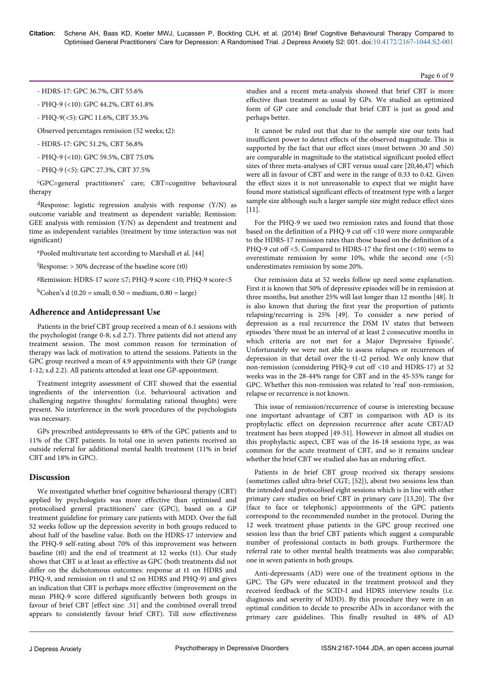**Citation:** Schene AH, Baas KD, Koeter MWJ, Lucassen P, Bockting CLH, et al. (2014) Brief Cognitive Behavioural Therapy Compared to Optimised General Practitioners' Care for Depression: A Randomised Trial. J Depress Anxiety S2: 001. doi[:10.4172/2167-1044.S2-001](http://dx.doi.org/10.4172/2167-1044.S2-001)

Page 6 of 9

- HDRS-17: GPC 36.7%, CBT 55.6%

- PHQ-9 (<10): GPC 44.2%, CBT 61.8%

- PHQ-9(<5): GPC 11.6%, CBT 35.3%

Observed percentages remission (52 weeks; t2):

- HDRS-17: GPC 51.2%, CBT 56.8%

- PHQ-9 (<10): GPC 59.5%, CBT 75.0%

- PHQ-9 (<5): GPC 27.3%, CBT 37.5%

<sup>c</sup>GPC=general practitioners' care; CBT=cognitive behavioural therapy

 $d$ Response: logistic regression analysis with response  $(Y/N)$  as outcome variable and treatment as dependent variable; Remission: GEE analysis with remission (Y/N) as dependent and treatment and time as independent variables (treatment by time interaction was not significant)

<sup>e</sup>Pooled multivariate test according to Marshall et al. [44]

 $f$ Response:  $> 50\%$  decrease of the baseline score (t0)

<sup>g</sup>Remission: HDRS-17 score ≤7; PHQ-9 score <10; PHQ-9 score<5

hCohen's d  $(0.20 = \text{small}; 0.50 = \text{medium}, 0.80 = \text{large})$ 

#### **Adherence and Antidepressant Use**

Patients in the brief CBT group received a mean of 6.1 sessions with the psychologist (range 0-8; s.d 2.7). Three patients did not attend any treatment session. The most common reason for termination of therapy was lack of motivation to attend the sessions. Patients in the GPC group received a mean of 4.9 appointments with their GP (range 1-12; s.d 2.2). All patients attended at least one GP-appointment.

Treatment integrity assessment of CBT showed that the essential ingredients of the intervention (i.e. behavioural activation and challenging negative thoughts/ formulating rational thoughts) were present. No interference in the work procedures of the psychologists was necessary.

GPs prescribed antidepressants to 48% of the GPC patients and to 11% of the CBT patients. In total one in seven patients received an outside referral for additional mental health treatment (11% in brief CBT and 18% in GPC).

#### **Discussion**

We investigated whether brief cognitive behavioural therapy (CBT) applied by psychologists was more effective than optimised and protocolised general practitioners' care (GPC), based on a GP treatment guideline for primary care patients with MDD. Over the full 52 weeks follow up the depression severity in both groups reduced to about half of the baseline value. Both on the HDRS-17 interview and the PHQ-9 self-rating about 70% of this improvement was between baseline (t0) and the end of treatment at 12 weeks (t1). Our study shows that CBT is at least as effective as GPC (both treatments did not differ on the dichotomous outcomes: response at t1 on HDRS and PHQ-9, and remission on t1 and t2 on HDRS and PHQ-9) and gives an indication that CBT is perhaps more effective (improvement on the mean PHQ-9 score differed significantly between both groups in favour of brief CBT [effect size: .51] and the combined overall trend appears to consistently favour brief CBT). Till now effectiveness

studies and a recent meta-analysis showed that brief CBT is more effective than treatment as usual by GPs. We studied an optimized form of GP care and conclude that brief CBT is just as good and perhaps better.

It cannot be ruled out that due to the sample size our tests had insufficient power to detect effects of the observed magnitude. This is supported by the fact that our effect sizes (most between .30 and .50) are comparable in magnitude to the statistical significant pooled effect sizes of three meta-analyses of CBT versus usual care [20,46,47] which were all in favour of CBT and were in the range of 0.33 to 0.42. Given the effect sizes it is not unreasonable to expect that we might have found more statistical significant effects of treatment type with a larger sample size although such a larger sample size might reduce effect sizes [11].

For the PHQ-9 we used two remission rates and found that those based on the definition of a PHQ-9 cut off <10 were more comparable to the HDRS-17 remission rates than those based on the definition of a PHQ-9 cut off <5. Compared to HDRS-17 the first one (<10) seems to overestimate remission by some 10%, while the second one (<5) underestimates remission by some 20%.

Our remission data at 52 weeks follow up need some explanation. First it is known that 50% of depressive episodes will be in remission at three months, but another 25% will last longer than 12 months [48]. It is also known that during the first year the proportion of patients relapsing/recurring is 25% [49]. To consider a new period of depression as a real recurrence the DSM IV states that between episodes 'there must be an interval of at least 2 consecutive months in which criteria are not met for a Major Depressive Episode'. Unfortunately we were not able to assess relapses or recurrences of depression in that detail over the t1-t2 period. We only know that non-remission (considering PHQ-9 cut off <10 and HDRS-17) at 52 weeks was in the 28-44% range for CBT and in the 45-55% range for GPC. Whether this non-remission was related to 'real' non-remission, relapse or recurrence is not known.

This issue of remission/recurrence of course is interesting because one important advantage of CBT in comparison with AD is its prophylactic effect on depression recurrence after acute CBT/AD treatment has been stopped [49-51]. However in almost all studies on this prophylactic aspect, CBT was of the 16-18 sessions type, as was common for the acute treatment of CBT, and so it remains unclear whether the brief CBT we studied also has an enduring effect.

Patients in de brief CBT group received six therapy sessions (sometimes called ultra-brief CGT; [52]), about two sessions less than the intended and protocolised eight sessions which is in line with other primary care studies on brief CBT in primary care [13,20]. The five (face to face or telephonic) appointments of the GPC patients correspond to the recommended number in the protocol. During the 12 week treatment phase patients in the GPC group received one session less than the brief CBT patients which suggest a comparable number of professional contacts in both groups. Furthermore the referral rate to other mental health treatments was also comparable; one in seven patients in both groups.

Anti-depressants (AD) were one of the treatment options in the GPC. The GPs were educated in the treatment protocol and they received feedback of the SCID-I and HDRS interview results (i.e. diagnosis and severity of MDD). By this procedure they were in an optimal condition to decide to prescribe ADs in accordance with the primary care guidelines. This finally resulted in 48% of AD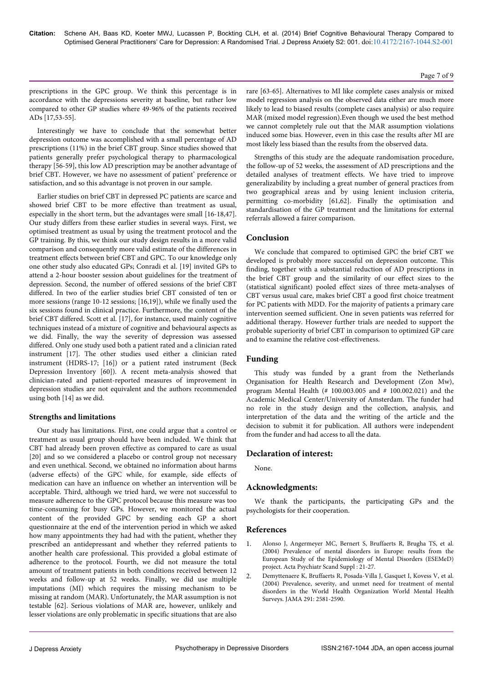prescriptions in the GPC group. We think this percentage is in accordance with the depressions severity at baseline, but rather low compared to other GP studies where 49-96% of the patients received ADs [17,53-55].

Interestingly we have to conclude that the somewhat better depression outcome was accomplished with a small percentage of AD prescriptions (11%) in the brief CBT group. Since studies showed that patients generally prefer psychological therapy to pharmacological therapy [56-59], this low AD prescription may be another advantage of brief CBT. However, we have no assessment of patient' preference or satisfaction, and so this advantage is not proven in our sample.

Earlier studies on brief CBT in depressed PC patients are scarce and showed brief CBT to be more effective than treatment as usual, especially in the short term, but the advantages were small [16-18,47]. Our study differs from these earlier studies in several ways. First, we optimised treatment as usual by using the treatment protocol and the GP training. By this, we think our study design results in a more valid comparison and consequently more valid estimate of the differences in treatment effects between brief CBT and GPC. To our knowledge only one other study also educated GPs; Conradi et al. [19] invited GPs to attend a 2-hour booster session about guidelines for the treatment of depression. Second, the number of offered sessions of the brief CBT differed. In two of the earlier studies brief CBT consisted of ten or more sessions (range 10-12 sessions; [16,19]), while we finally used the six sessions found in clinical practice. Furthermore, the content of the brief CBT differed. Scott et al. [17], for instance, used mainly cognitive techniques instead of a mixture of cognitive and behavioural aspects as we did. Finally, the way the severity of depression was assessed differed. Only one study used both a patient rated and a clinician rated instrument [17]. The other studies used either a clinician rated instrument (HDRS-17; [16]) or a patient rated instrument (Beck Depression Inventory [60]). A recent meta-analysis showed that clinician-rated and patient-reported measures of improvement in depression studies are not equivalent and the authors recommended using both [14] as we did.

#### **Strengths and limitations**

Our study has limitations. First, one could argue that a control or treatment as usual group should have been included. We think that CBT had already been proven effective as compared to care as usual [20] and so we considered a placebo or control group not necessary and even unethical. Second, we obtained no information about harms (adverse effects) of the GPC while, for example, side effects of medication can have an influence on whether an intervention will be acceptable. Third, although we tried hard, we were not successful to measure adherence to the GPC protocol because this measure was too time-consuming for busy GPs. However, we monitored the actual content of the provided GPC by sending each GP a short questionnaire at the end of the intervention period in which we asked how many appointments they had had with the patient, whether they prescribed an antidepressant and whether they referred patients to another health care professional. This provided a global estimate of adherence to the protocol. Fourth, we did not measure the total amount of treatment patients in both conditions received between 12 weeks and follow-up at 52 weeks. Finally, we did use multiple imputations (MI) which requires the missing mechanism to be missing at random (MAR). Unfortunately, the MAR assumption is not testable [62]. Serious violations of MAR are, however, unlikely and lesser violations are only problematic in specific situations that are also

rare [63-65]. Alternatives to MI like complete cases analysis or mixed model regression analysis on the observed data either are much more likely to lead to biased results (complete cases analysis) or also require MAR (mixed model regression).Even though we used the best method we cannot completely rule out that the MAR assumption violations induced some bias. However, even in this case the results after MI are most likely less biased than the results from the observed data.

Strengths of this study are the adequate randomisation procedure, the follow-up of 52 weeks, the assessment of AD prescriptions and the detailed analyses of treatment effects. We have tried to improve generalizability by including a great number of general practices from two geographical areas and by using lenient inclusion criteria, permitting co-morbidity [61,62]. Finally the optimisation and standardisation of the GP treatment and the limitations for external referrals allowed a fairer comparison.

# **Conclusion**

We conclude that compared to optimised GPC the brief CBT we developed is probably more successful on depression outcome. This finding, together with a substantial reduction of AD prescriptions in the brief CBT group and the similarity of our effect sizes to the (statistical significant) pooled effect sizes of three meta-analyses of CBT versus usual care, makes brief CBT a good first choice treatment for PC patients with MDD. For the majority of patients a primary care intervention seemed sufficient. One in seven patients was referred for additional therapy. However further trials are needed to support the probable superiority of brief CBT in comparison to optimized GP care and to examine the relative cost-effectiveness.

# **Funding**

This study was funded by a grant from the Netherlands Organisation for Health Research and Development (Zon Mw), program Mental Health (# 100.003.005 and # 100.002.021) and the Academic Medical Center/University of Amsterdam. The funder had no role in the study design and the collection, analysis, and interpretation of the data and the writing of the article and the decision to submit it for publication. All authors were independent from the funder and had access to all the data.

# **Declaration of interest:**

None.

# **Acknowledgments:**

We thank the participants, the participating GPs and the psychologists for their cooperation.

#### **References**

- 1. [Alonso J, Angermeyer MC, Bernert S, Bruffaerts R, Brugha TS, et al.](http://www.ncbi.nlm.nih.gov/pubmed/15128384) [\(2004\) Prevalence of mental disorders in Europe: results from the](http://www.ncbi.nlm.nih.gov/pubmed/15128384) [European Study of the Epidemiology of Mental Disorders \(ESEMeD\)](http://www.ncbi.nlm.nih.gov/pubmed/15128384) [project. Acta Psychiatr Scand Suppl : 21-27.](http://www.ncbi.nlm.nih.gov/pubmed/15128384)
- 2. [Demyttenaere K, Bruffaerts R, Posada-Villa J, Gasquet I, Kovess V, et al.](http://www.ncbi.nlm.nih.gov/pubmed/15173149) [\(2004\) Prevalence, severity, and unmet need for treatment of mental](http://www.ncbi.nlm.nih.gov/pubmed/15173149) [disorders in the World Health Organization World Mental Health](http://www.ncbi.nlm.nih.gov/pubmed/15173149) [Surveys. JAMA 291: 2581-2590.](http://www.ncbi.nlm.nih.gov/pubmed/15173149)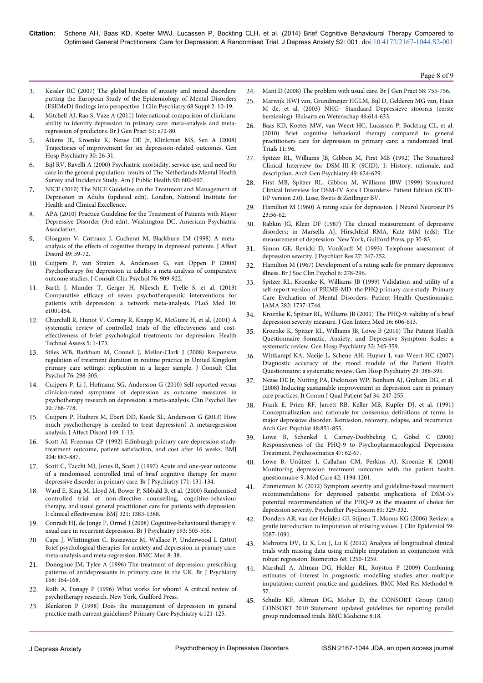Page 8 of 9

- 3. [Kessler RC \(2007\) The global burden of anxiety and mood disorders:](http://www.ncbi.nlm.nih.gov/pubmed/17288502) [putting the European Study of the Epidemiology of Mental Disorders](http://www.ncbi.nlm.nih.gov/pubmed/17288502) [\(ESEMeD\) findings into perspective. J Clin Psychiatry 68 Suppl 2: 10-19.](http://www.ncbi.nlm.nih.gov/pubmed/17288502)
- [Mitchell AJ, Rao S, Vaze A \(2011\) International comparison of clinicians'](http://www.ncbi.nlm.nih.gov/pubmed/21276327) [ability to identify depression in primary care: meta-analysis and meta](http://www.ncbi.nlm.nih.gov/pubmed/21276327)[regression of predictors. Br J Gen Pract 61: e72-80.](http://www.ncbi.nlm.nih.gov/pubmed/21276327)
- 5. [Aikens JE, Kroenke K, Nease DE Jr, Klinkman MS, Sen A \(2008\)](http://www.ncbi.nlm.nih.gov/pubmed/18164937) [Trajectories of improvement for six depression-related outcomes. Gen](http://www.ncbi.nlm.nih.gov/pubmed/18164937) [Hosp Psychiatry 30: 26-31.](http://www.ncbi.nlm.nih.gov/pubmed/18164937)
- 6. [Bijl RV, Ravelli A \(2000\) Psychiatric morbidity, service use, and need for](http://www.ncbi.nlm.nih.gov/pubmed/10754976) [care in the general population: results of The Netherlands Mental Health](http://www.ncbi.nlm.nih.gov/pubmed/10754976) [Survey and Incidence Study. Am J Public Health 90: 602-607.](http://www.ncbi.nlm.nih.gov/pubmed/10754976)
- 7. NICE (2010) The NICE Guideline on the Treatment and Management of Depression in Adults (updated edn). London, National Institute for Health and Clinical Excellence.
- 8. APA (2010) Practice Guideline for the Treatment of Patients with Major Depressive Disorder (3rd edn). Washington DC, American Psychiatric Association.
- 9. [Gloaguen V, Cottraux J, Cucherat M, Blackburn IM \(1998\) A meta](http://www.ncbi.nlm.nih.gov/pubmed/9574861)[analysis of the effects of cognitive therapy in depressed patients. J Affect](http://www.ncbi.nlm.nih.gov/pubmed/9574861) [Disord 49: 59-72.](http://www.ncbi.nlm.nih.gov/pubmed/9574861)
- 10. [Cuijpers P, van Straten A, Andersson G, van Oppen P \(2008\)](http://www.ncbi.nlm.nih.gov/pubmed/19045960) [Psychotherapy for depression in adults: a meta-analysis of comparative](http://www.ncbi.nlm.nih.gov/pubmed/19045960) [outcome studies. J Consult Clin Psychol 76: 909-922.](http://www.ncbi.nlm.nih.gov/pubmed/19045960)
- 11. [Barth J, Munder T, Gerger H, Nüesch E, Trelle S, et al. \(2013\)](http://www.ncbi.nlm.nih.gov/pubmed/23723742) [Comparative efficacy of seven psychotherapeutic interventions for](http://www.ncbi.nlm.nih.gov/pubmed/23723742) [patients with depression: a network meta-analysis. PLoS Med 10:](http://www.ncbi.nlm.nih.gov/pubmed/23723742) [e1001454.](http://www.ncbi.nlm.nih.gov/pubmed/23723742)
- 12. [Churchill R, Hunot V, Corney R, Knapp M, McGuire H, et al. \(2001\) A](http://www.ncbi.nlm.nih.gov/pubmed/12387733) [systematic review of controlled trials of the effectiveness and cost](http://www.ncbi.nlm.nih.gov/pubmed/12387733)[effectiveness of brief psychological treatments for depression. Health](http://www.ncbi.nlm.nih.gov/pubmed/12387733) [Technol Assess 5: 1-173.](http://www.ncbi.nlm.nih.gov/pubmed/12387733)
- 13. [Stiles WB, Barkham M, Connell J, Mellor-Clark J \(2008\) Responsive](http://www.ncbi.nlm.nih.gov/pubmed/18377125) [regulation of treatment duration in routine practice in United Kingdom](http://www.ncbi.nlm.nih.gov/pubmed/18377125) [primary care settings: replication in a larger sample. J Consult Clin](http://www.ncbi.nlm.nih.gov/pubmed/18377125) [Psychol 76: 298-305.](http://www.ncbi.nlm.nih.gov/pubmed/18377125)
- 14. [Cuijpers P, Li J, Hofmann SG, Andersson G \(2010\) Self-reported versus](http://www.ncbi.nlm.nih.gov/pubmed/20619943) [clinician-rated symptoms of depression as outcome measures in](http://www.ncbi.nlm.nih.gov/pubmed/20619943) [psychotherapy research on depression: a meta-analysis. Clin Psychol Rev](http://www.ncbi.nlm.nih.gov/pubmed/20619943) [30: 768-778.](http://www.ncbi.nlm.nih.gov/pubmed/20619943)
- 15. [Cuijpers P, Huibers M, Ebert DD, Koole SL, Andersson G \(2013\) How](http://www.ncbi.nlm.nih.gov/pubmed/23528438) [much psychotherapy is needed to treat depression? A metaregression](http://www.ncbi.nlm.nih.gov/pubmed/23528438) [analysis. J Affect Disord 149: 1-13.](http://www.ncbi.nlm.nih.gov/pubmed/23528438)
- 16. [Scott AI, Freeman CP \(1992\) Edinburgh primary care depression study:](http://www.ncbi.nlm.nih.gov/pubmed/1392754) [treatment outcome, patient satisfaction, and cost after 16 weeks. BMJ](http://www.ncbi.nlm.nih.gov/pubmed/1392754) [304: 883-887.](http://www.ncbi.nlm.nih.gov/pubmed/1392754)
- 17. [Scott C, Tacchi MJ, Jones R, Scott J \(1997\) Acute and one-year outcome](http://www.ncbi.nlm.nih.gov/pubmed/9337947) [of a randomised controlled trial of brief cognitive therapy for major](http://www.ncbi.nlm.nih.gov/pubmed/9337947) [depressive disorder in primary care. Br J Psychiatry 171: 131-134.](http://www.ncbi.nlm.nih.gov/pubmed/9337947)
- 18. [Ward E, King M, Lloyd M, Bower P, Sibbald B, et al. \(2000\) Randomised](http://www.ncbi.nlm.nih.gov/pubmed/11099284) [controlled trial of non-directive counselling, cognitive-behaviour](http://www.ncbi.nlm.nih.gov/pubmed/11099284) [therapy, and usual general practitioner care for patients with depression.](http://www.ncbi.nlm.nih.gov/pubmed/11099284) [I: clinical effectiveness. BMJ 321: 1383-1388.](http://www.ncbi.nlm.nih.gov/pubmed/11099284)
- 19. [Conradi HJ, de Jonge P, Ormel J \(2008\) Cognitive-behavioural therapy v.](http://www.ncbi.nlm.nih.gov/pubmed/19043158) [usual care in recurrent depression. Br J Psychiatry 193: 505-506.](http://www.ncbi.nlm.nih.gov/pubmed/19043158)
- 20. [Cape J, Whittington C, Buszewicz M, Wallace P, Underwood L \(2010\)](http://www.ncbi.nlm.nih.gov/pubmed/20579335) [Brief psychological therapies for anxiety and depression in primary care:](http://www.ncbi.nlm.nih.gov/pubmed/20579335) [meta-analysis and meta-regression. BMC Med 8: 38.](http://www.ncbi.nlm.nih.gov/pubmed/20579335)
- 21. [Donoghue JM, Tylee A \(1996\) The treatment of depression: prescribing](http://www.ncbi.nlm.nih.gov/pubmed/8837905) [patterns of antidepressants in primary care in the UK. Br J Psychiatry](http://www.ncbi.nlm.nih.gov/pubmed/8837905) [168: 164-168.](http://www.ncbi.nlm.nih.gov/pubmed/8837905)
- 22. Roth A, Fonagy P (1996) What works for whom? A critical review of psychotherapy research. New York, Guilford Press.
- 23. Blenkiron P (1998) Does the management of depression in general practice math current guidelines? Primary Care Psychiatry 4:121-125.
- 24. [Mant D \(2008\) The problem with usual care. Br J Gen Pract 58: 755-756.](http://www.ncbi.nlm.nih.gov/pubmed/19000397)
- 25. [Marwijk HWJ van, Grundmeijer HGLM, Bijl D, Gelderen MG van, Haan](https://www.nhg.org/standaarden/volledig/nhg-standaard-depressie-tweede-herziening) [M de, et al. \(2003\) NHG- Standaard Depressieve stoornis \(eerste](https://www.nhg.org/standaarden/volledig/nhg-standaard-depressie-tweede-herziening) [herziening\). Huisarts en Wetenschap 46:614-633.](https://www.nhg.org/standaarden/volledig/nhg-standaard-depressie-tweede-herziening)
- 26. [Baas KD, Koeter MW, van Weert HC, Lucassen P, Bockting CL, et al.](http://www.ncbi.nlm.nih.gov/pubmed/20939917) [\(2010\) Brief cognitive behavioral therapy compared to general](http://www.ncbi.nlm.nih.gov/pubmed/20939917) [practitioners care for depression in primary care: a randomized trial.](http://www.ncbi.nlm.nih.gov/pubmed/20939917) [Trials 11: 96.](http://www.ncbi.nlm.nih.gov/pubmed/20939917)
- 27. [Spitzer RL, Williams JB, Gibbon M, First MB \(1992\) The Structured](http://www.ncbi.nlm.nih.gov/pubmed/1637252) [Clinical Interview for DSM-III-R \(SCID\). I: History, rationale, and](http://www.ncbi.nlm.nih.gov/pubmed/1637252) [description. Arch Gen Psychiatry 49: 624-629.](http://www.ncbi.nlm.nih.gov/pubmed/1637252)
- 28. First MB, Spitzer RL, Gibbon M, Williams JBW (1999) Structured Clinical Interview for DSM-IV Axis I Disorders- Patient Edition (SCID-I/P version 2.0). Lisse, Swets & Zeitlinger BV.
- 29. Hamilton M (1960) A rating scale for depression. J Neurol Neurosur PS 23:56-62.
- 30. Rabkin JG, Klein DF (1987) The clinical measurement of depressive disorders; in Marsella AJ, Hirschfeld RMA, Katz MM (eds): The measurement of depression. New York, Guilford Press, pp 30-83.
- 31. [Simon GE, Revicki D, VonKorff M \(1993\) Telephone assessment of](http://www.ncbi.nlm.nih.gov/pubmed/8295157) [depression severity. J Psychiatr Res 27: 247-252.](http://www.ncbi.nlm.nih.gov/pubmed/8295157)
- 32. [Hamilton M \(1967\) Development of a rating scale for primary depressive](http://www.ncbi.nlm.nih.gov/pubmed/6080235) [illness. Br J Soc Clin Psychol 6: 278-296.](http://www.ncbi.nlm.nih.gov/pubmed/6080235)
- 33. [Spitzer RL, Kroenke K, Williams JB \(1999\) Validation and utility of a](http://www.ncbi.nlm.nih.gov/pubmed/10568646) [self-report version of PRIME-MD: the PHQ primary care study. Primary](http://www.ncbi.nlm.nih.gov/pubmed/10568646) [Care Evaluation of Mental Disorders. Patient Health Questionnaire.](http://www.ncbi.nlm.nih.gov/pubmed/10568646) [JAMA 282: 1737-1744.](http://www.ncbi.nlm.nih.gov/pubmed/10568646)
- 34. [Kroenke K, Spitzer RL, Williams JB \(2001\) The PHQ-9: validity of a brief](http://www.ncbi.nlm.nih.gov/pubmed/11556941) [depression severity measure. J Gen Intern Med 16: 606-613.](http://www.ncbi.nlm.nih.gov/pubmed/11556941)
- 35. [Kroenke K, Spitzer RL, Williams JB, Löwe B \(2010\) The Patient Health](http://www.ncbi.nlm.nih.gov/pubmed/20633738) [Questionnaire Somatic, Anxiety, and Depressive Symptom Scales: a](http://www.ncbi.nlm.nih.gov/pubmed/20633738) [systematic review. Gen Hosp Psychiatry 32: 345-359.](http://www.ncbi.nlm.nih.gov/pubmed/20633738)
- 36. [Wittkampf KA, Naeije L, Schene AH, Huyser J, van Weert HC \(2007\)](http://www.ncbi.nlm.nih.gov/pubmed/17888804) [Diagnostic accuracy of the mood module of the Patient Health](http://www.ncbi.nlm.nih.gov/pubmed/17888804) [Questionnaire: a systematic review. Gen Hosp Psychiatry 29: 388-395.](http://www.ncbi.nlm.nih.gov/pubmed/17888804)
- 37. [Nease DE Jr, Nutting PA, Dickinson WP, Bonham AJ, Graham DG, et al.](http://www.ncbi.nlm.nih.gov/pubmed/18491688) [\(2008\) Inducing sustainable improvement in depression care in primary](http://www.ncbi.nlm.nih.gov/pubmed/18491688) [care practices. Jt Comm J Qual Patient Saf 34: 247-255.](http://www.ncbi.nlm.nih.gov/pubmed/18491688)
- 38. [Frank E, Prien RF, Jarrett RB, Keller MB, Kupfer DJ, et al. \(1991\)](http://www.ncbi.nlm.nih.gov/pubmed/1929776) [Conceptualization and rationale for consensus definitions of terms in](http://www.ncbi.nlm.nih.gov/pubmed/1929776) [major depressive disorder. Remission, recovery, relapse, and recurrence.](http://www.ncbi.nlm.nih.gov/pubmed/1929776) [Arch Gen Psychiat 48:851-855.](http://www.ncbi.nlm.nih.gov/pubmed/1929776)
- 39. [Löwe B, Schenkel I, Carney-Doebbeling C, Göbel C \(2006\)](http://www.ncbi.nlm.nih.gov/pubmed/16384809) [Responsiveness of the PHQ-9 to Psychopharmacological Depression](http://www.ncbi.nlm.nih.gov/pubmed/16384809) [Treatment. Psychosomatics 47: 62-67.](http://www.ncbi.nlm.nih.gov/pubmed/16384809)
- 40. [Löwe B, Unützer J, Callahan CM, Perkins AJ, Kroenke K \(2004\)](http://www.ncbi.nlm.nih.gov/pubmed/15550799) [Monitoring depression treatment outcomes with the patient health](http://www.ncbi.nlm.nih.gov/pubmed/15550799) [questionnaire-9. Med Care 42: 1194-1201.](http://www.ncbi.nlm.nih.gov/pubmed/15550799)
- [Zimmerman M \(2012\) Symptom severity and guideline-based treatment](http://www.ncbi.nlm.nih.gov/pubmed/22964496) [recommendations for depressed patients: implications of DSM-5's](http://www.ncbi.nlm.nih.gov/pubmed/22964496) [potential recommendation of the PHQ-9 as the measure of choice for](http://www.ncbi.nlm.nih.gov/pubmed/22964496) [depression severity. Psychother Psychosom 81: 329-332.](http://www.ncbi.nlm.nih.gov/pubmed/22964496)
- 42. [Donders AR, van der Heijden GJ, Stijnen T, Moons KG \(2006\) Review: a](http://www.ncbi.nlm.nih.gov/pubmed/16980149) [gentle introduction to imputation of missing values. J Clin Epidemiol 59:](http://www.ncbi.nlm.nih.gov/pubmed/16980149) [1087-1091.](http://www.ncbi.nlm.nih.gov/pubmed/16980149)
- 43. [Mehrotra DV, Li X, Liu J, Lu K \(2012\) Analysis of longitudinal clinical](http://www.ncbi.nlm.nih.gov/pubmed/22994905) [trials with missing data using multiple imputation in conjunction with](http://www.ncbi.nlm.nih.gov/pubmed/22994905) [robust regression. Biometrics 68: 1250-1259.](http://www.ncbi.nlm.nih.gov/pubmed/22994905)
- 44. [Marshall A, Altman DG, Holder RL, Royston P \(2009\) Combining](http://www.ncbi.nlm.nih.gov/pubmed/19638200) [estimates of interest in prognostic modelling studies after multiple](http://www.ncbi.nlm.nih.gov/pubmed/19638200) [imputation: current practice and guidelines. BMC Med Res Methodol 9:](http://www.ncbi.nlm.nih.gov/pubmed/19638200) [57.](http://www.ncbi.nlm.nih.gov/pubmed/19638200)
- 45. Schultz KF, Altman DG, Moher D, the CONSORT Group (2010) CONSORT 2010 Statement: updated guidelines for reporting parallel group randomised trials. BMC Medicine 8:18.